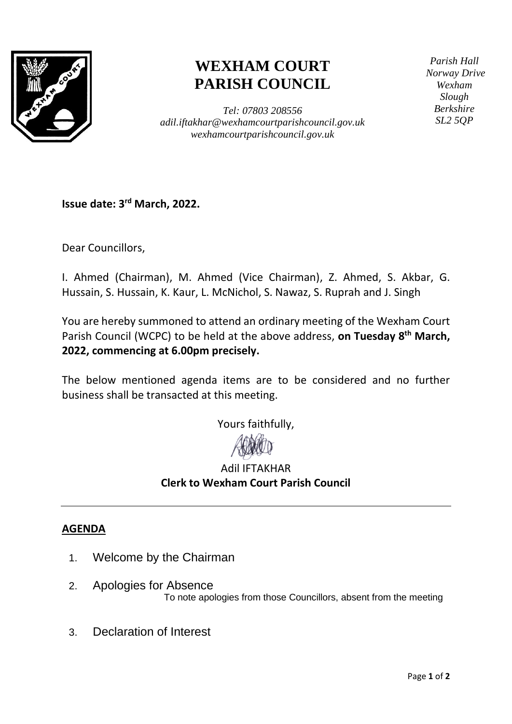

## **WEXHAM COURT PARISH COUNCIL**

*Tel: 07803 208556 adil.iftakhar@wexhamcourtparishcouncil.gov.uk wexhamcourtparishcouncil.gov.uk*

*Parish Hall Norway Drive Wexham Slough Berkshire SL2 5QP*

**Issue date: 3 rd March, 2022.**

Dear Councillors,

I. Ahmed (Chairman), M. Ahmed (Vice Chairman), Z. Ahmed, S. Akbar, G. Hussain, S. Hussain, K. Kaur, L. McNichol, S. Nawaz, S. Ruprah and J. Singh

You are hereby summoned to attend an ordinary meeting of the Wexham Court Parish Council (WCPC) to be held at the above address, **on Tuesday 8 th March, 2022, commencing at 6.00pm precisely.**

The below mentioned agenda items are to be considered and no further business shall be transacted at this meeting.

Yours faithfully,



## Adil IFTAKHAR **Clerk to Wexham Court Parish Council**

## **AGENDA**

- 1. Welcome by the Chairman
- 2. Apologies for Absence To note apologies from those Councillors, absent from the meeting
- 3. Declaration of Interest